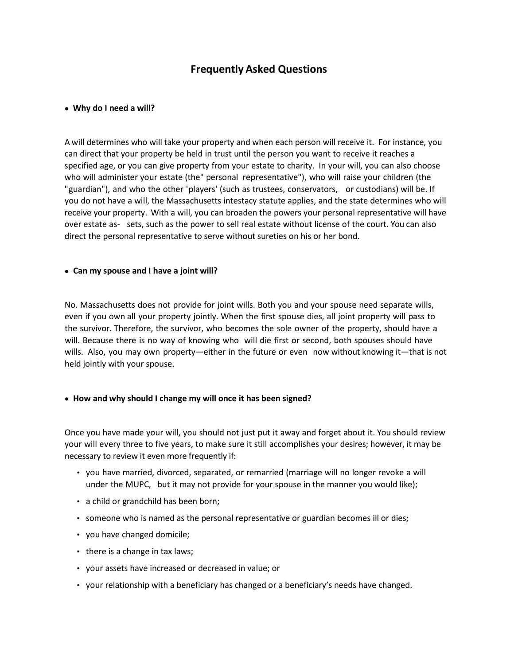# **Frequently Asked Questions**

#### • **Why do I need a will?**

A will determines who will take your property and when each person will receive it. For instance, you can direct that your property be held in trust until the person you want to receive it reaches a specified age, or you can give property from your estate to charity. In your will, you can also choose who will administer your estate (the" personal representative"), who will raise your children (the "guardian"), and who the other 'players' (such as trustees, conservators, or custodians) will be. If you do not have a will, the Massachusetts intestacy statute applies, and the state determines who will receive your property. With a will, you can broaden the powers your personal representative will have over estate as- sets, such as the power to sell real estate without license of the court. You can also direct the personal representative to serve without sureties on his or her bond.

#### • **Can my spouse and I have a joint will?**

No. Massachusetts does not provide for joint wills. Both you and your spouse need separate wills, even if you own all your property jointly. When the first spouse dies, all joint property will pass to the survivor. Therefore, the survivor, who becomes the sole owner of the property, should have a will. Because there is no way of knowing who will die first or second, both spouses should have wills. Also, you may own property—either in the future or even now without knowing it—that is not held jointly with your spouse.

## • **How and why should I change my will once it has been signed?**

Once you have made your will, you should not just put it away and forget about it. You should review your will every three to five years, to make sure it still accomplishes your desires; however, it may be necessary to review it even more frequently if:

- you have married, divorced, separated, or remarried (marriage will no longer revoke a will under the MUPC, but it may not provide for your spouse in the manner you would like);
- a child or grandchild has been born;
- someone who is named as the personal representative or guardian becomes ill or dies;
- you have changed domicile;
- there is a change in tax laws;
- your assets have increased or decreased in value; or
- your relationship with a beneficiary has changed or a beneficiary's needs have changed.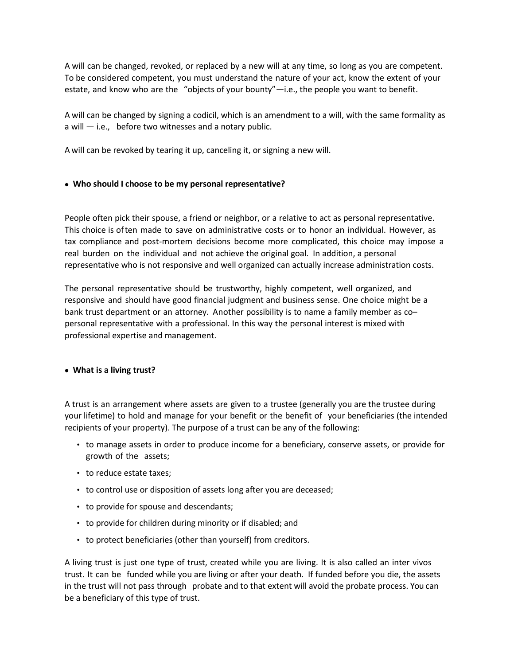A will can be changed, revoked, or replaced by a new will at any time, so long as you are competent. To be considered competent, you must understand the nature of your act, know the extent of your estate, and know who are the "objects of your bounty"—i.e., the people you want to benefit.

A will can be changed by signing a codicil, which is an amendment to a will, with the same formality as a will  $-$  i.e., before two witnesses and a notary public.

A will can be revoked by tearing it up, canceling it, or signing a new will.

## • **Who should I choose to be my personal representative?**

People often pick their spouse, a friend or neighbor, or a relative to act as personal representative. This choice is often made to save on administrative costs or to honor an individual. However, as tax compliance and post-mortem decisions become more complicated, this choice may impose a real burden on the individual and not achieve the original goal. In addition, a personal representative who is not responsive and well organized can actually increase administration costs.

The personal representative should be trustworthy, highly competent, well organized, and responsive and should have good financial judgment and business sense. One choice might be a bank trust department or an attorney. Another possibility is to name a family member as co– personal representative with a professional. In this way the personal interest is mixed with professional expertise and management.

## • **What is a living trust?**

A trust is an arrangement where assets are given to a trustee (generally you are the trustee during your lifetime) to hold and manage for your benefit or the benefit of your beneficiaries (the intended recipients of your property). The purpose of a trust can be any of the following:

- to manage assets in order to produce income for a beneficiary, conserve assets, or provide for growth of the assets;
- to reduce estate taxes;
- to control use or disposition of assets long after you are deceased;
- to provide for spouse and descendants;
- to provide for children during minority or if disabled; and
- to protect beneficiaries (other than yourself) from creditors.

A living trust is just one type of trust, created while you are living. It is also called an inter vivos trust. It can be funded while you are living or after your death. If funded before you die, the assets in the trust will not pass through probate and to that extent will avoid the probate process. You can be a beneficiary of this type of trust.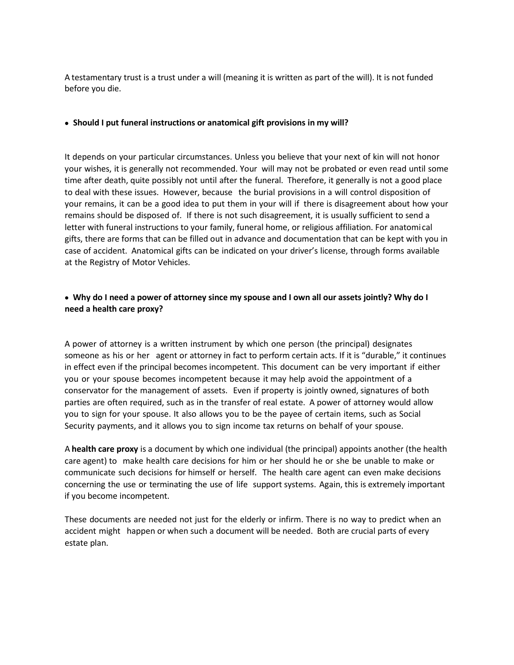A testamentary trust is a trust under a will (meaning it is written as part of the will). It is not funded before you die.

#### • **Should I put funeral instructions or anatomical gift provisions in my will?**

It depends on your particular circumstances. Unless you believe that your next of kin will not honor your wishes, it is generally not recommended. Your will may not be probated or even read until some time after death, quite possibly not until after the funeral. Therefore, it generally is not a good place to deal with these issues. However, because the burial provisions in a will control disposition of your remains, it can be a good idea to put them in your will if there is disagreement about how your remains should be disposed of. If there is not such disagreement, it is usually sufficient to send a letter with funeral instructions to your family, funeral home, or religious affiliation. For anatomi cal gifts, there are forms that can be filled out in advance and documentation that can be kept with you in case of accident. Anatomical gifts can be indicated on your driver's license, through forms available at the Registry of Motor Vehicles.

# • **Why do I need a power of attorney since my spouse and I own all our assets jointly? Why do I need a health care proxy?**

A power of attorney is a written instrument by which one person (the principal) designates someone as his or her agent or attorney in fact to perform certain acts. If it is "durable," it continues in effect even if the principal becomes incompetent. This document can be very important if either you or your spouse becomes incompetent because it may help avoid the appointment of a conservator for the management of assets. Even if property is jointly owned, signatures of both parties are often required, such as in the transfer of real estate. A power of attorney would allow you to sign for your spouse. It also allows you to be the payee of certain items, such as Social Security payments, and it allows you to sign income tax returns on behalf of your spouse.

A **health care proxy** is a document by which one individual (the principal) appoints another (the health care agent) to make health care decisions for him or her should he or she be unable to make or communicate such decisions for himself or herself. The health care agent can even make decisions concerning the use or terminating the use of life support systems. Again, this is extremely important if you become incompetent.

These documents are needed not just for the elderly or infirm. There is no way to predict when an accident might happen or when such a document will be needed. Both are crucial parts of every estate plan.